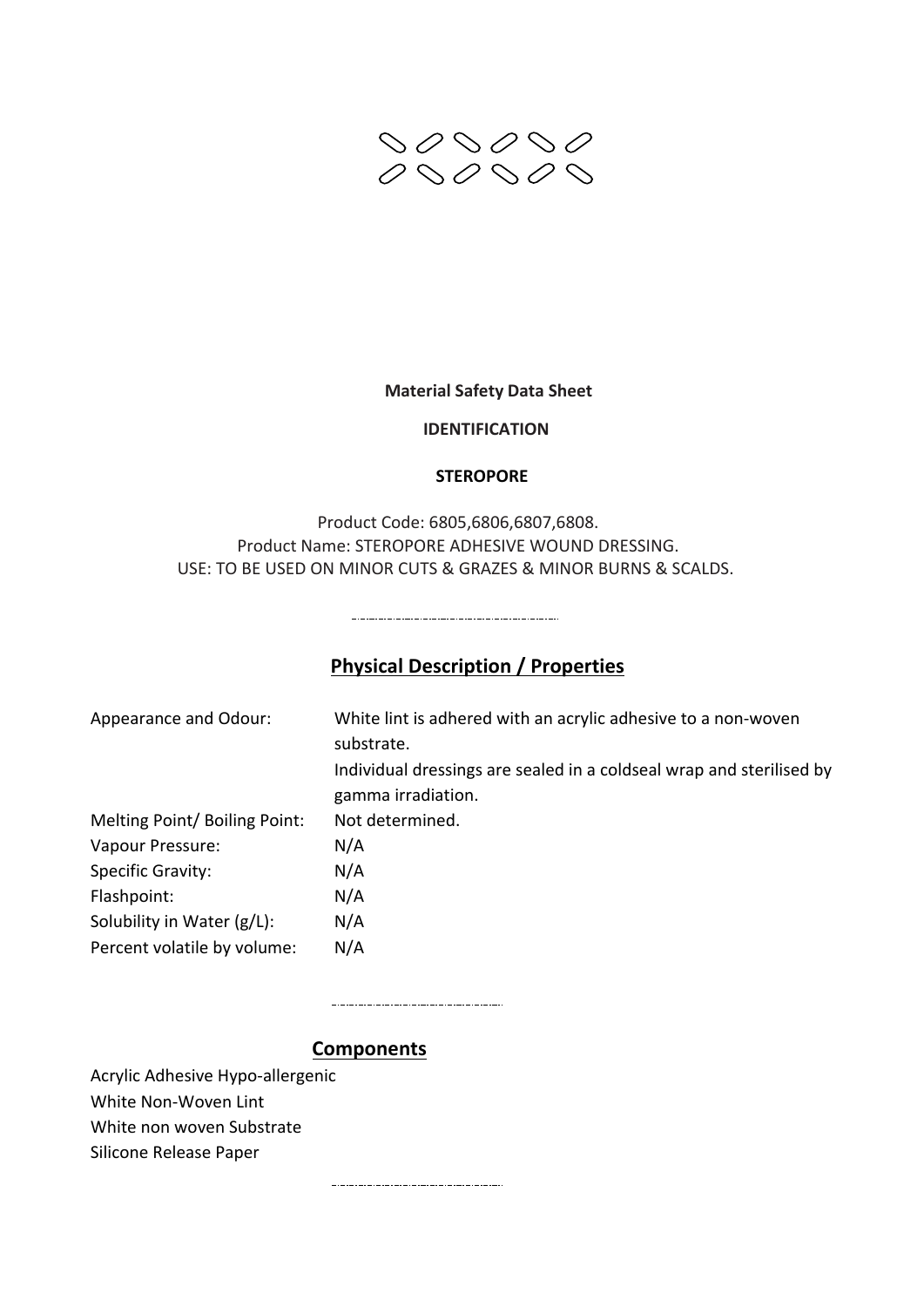

#### **Material Safety Data Sheet**

#### **IDENTIFICATION**

#### **STEROPORE**

Product Code: 6805,6806,6807,6808. Product Name: STEROPORE ADHESIVE WOUND DRESSING. USE: TO BE USED ON MINOR CUTS & GRAZES & MINOR BURNS & SCALDS.

# **Physical Description / Properties**

| White lint is adhered with an acrylic adhesive to a non-woven<br>substrate.<br>Individual dressings are sealed in a coldseal wrap and sterilised by<br>gamma irradiation. |
|---------------------------------------------------------------------------------------------------------------------------------------------------------------------------|
| Not determined.                                                                                                                                                           |
| N/A                                                                                                                                                                       |
| N/A                                                                                                                                                                       |
| N/A                                                                                                                                                                       |
| N/A                                                                                                                                                                       |
| N/A                                                                                                                                                                       |
|                                                                                                                                                                           |

**Components**

Acrylic Adhesive Hypo-allergenic White Non-Woven Lint

White non woven Substrate

Silicone Release Paper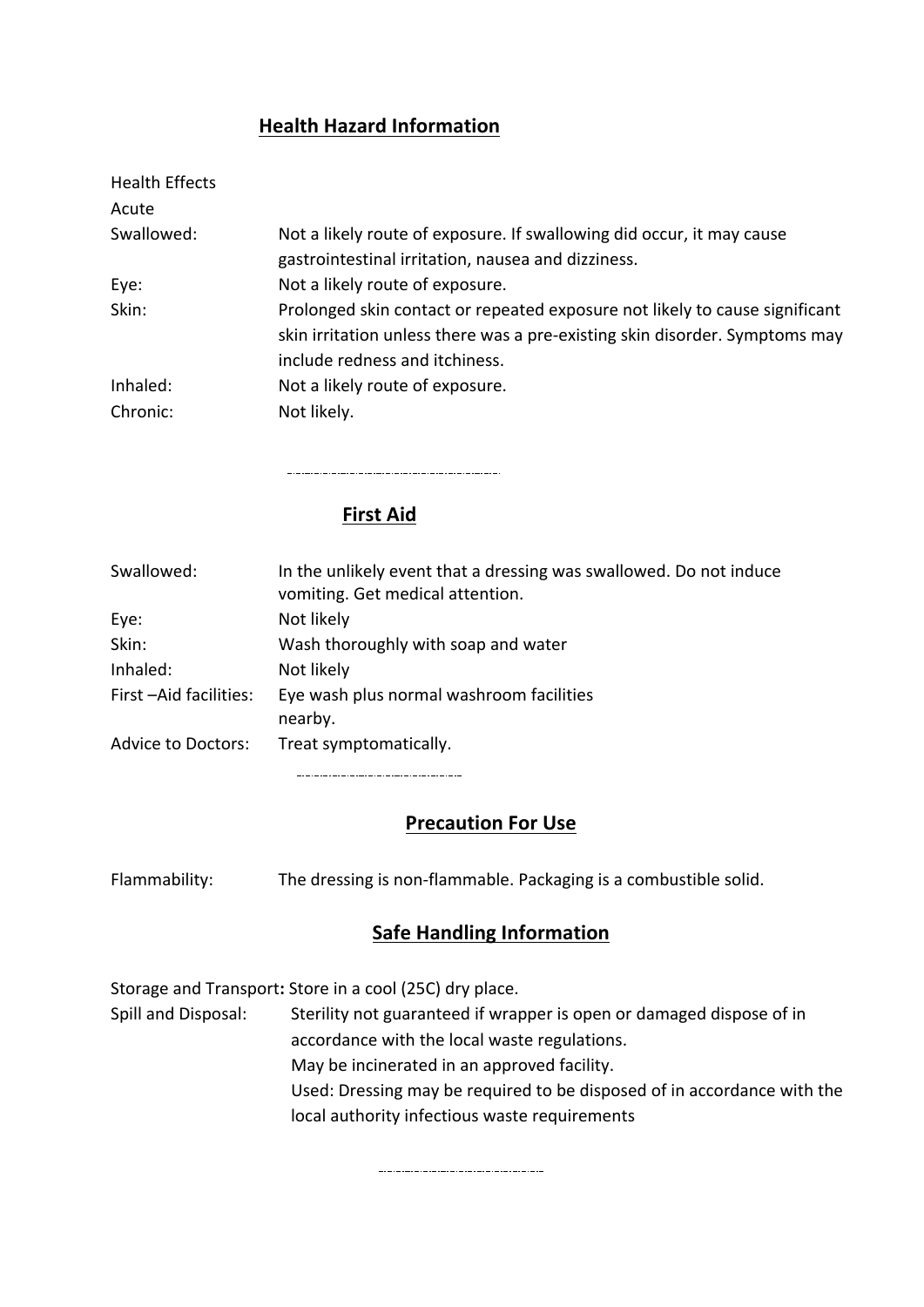### **Health Hazard Information**

| <b>Health Effects</b> |                                                                                                                                                                                              |
|-----------------------|----------------------------------------------------------------------------------------------------------------------------------------------------------------------------------------------|
| Acute                 |                                                                                                                                                                                              |
| Swallowed:            | Not a likely route of exposure. If swallowing did occur, it may cause<br>gastrointestinal irritation, nausea and dizziness.                                                                  |
| Eye:                  | Not a likely route of exposure.                                                                                                                                                              |
| Skin:                 | Prolonged skin contact or repeated exposure not likely to cause significant<br>skin irritation unless there was a pre-existing skin disorder. Symptoms may<br>include redness and itchiness. |
| Inhaled:              | Not a likely route of exposure.                                                                                                                                                              |
| Chronic:              | Not likely.                                                                                                                                                                                  |

### **First Aid**

| Swallowed:                | In the unlikely event that a dressing was swallowed. Do not induce<br>vomiting. Get medical attention. |
|---------------------------|--------------------------------------------------------------------------------------------------------|
| Eye:                      | Not likely                                                                                             |
| Skin:                     | Wash thoroughly with soap and water                                                                    |
| Inhaled:                  | Not likely                                                                                             |
| First-Aid facilities:     | Eye wash plus normal washroom facilities<br>nearby.                                                    |
| <b>Advice to Doctors:</b> | Treat symptomatically.                                                                                 |

#### **Precaution For Use**

Flammability: The dressing is non-flammable. Packaging is a combustible solid.

## **Safe Handling Information**

Storage and Transport: Store in a cool (25C) dry place.

Spill and Disposal: Sterility not guaranteed if wrapper is open or damaged dispose of in accordance with the local waste regulations. May be incinerated in an approved facility. Used: Dressing may be required to be disposed of in accordance with the local authority infectious waste requirements